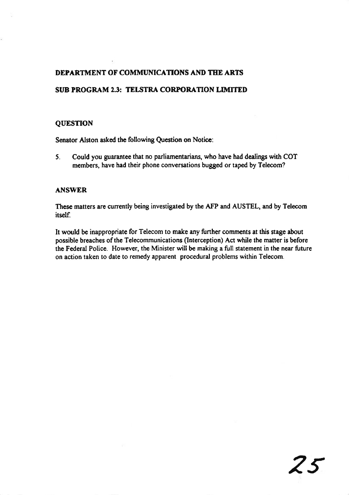# SUB PROGRAM 2.3: TELSTRA CORPORATION LIMITED

### **QUESTION**

Senator Alston asked the following Quesion on Noticc:

5. Could you guarantee that no parliamentarians, who have had dealings with COT members, have had their phone conversations bugged or taped by Telecom?

### **ANSWER**

These matters are curently being investigated by the AFP and AUSTEL, and by Telecom itself

It would be inappropriate for Telecom to make any further comments at this stage about possible breaches of the Telecommunications (Interception) Act while the matter is before the Federal Police. However, the Minister will be making a full statement in the near future on action taken to date to remedy apparent procedural problems within Telecom.

25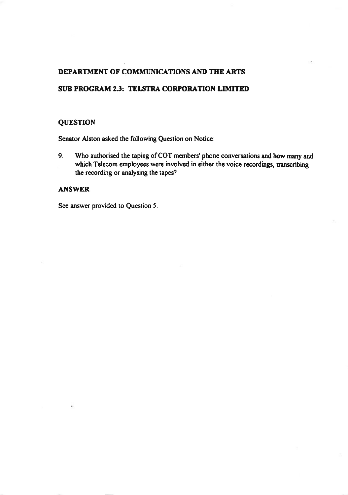# SUB PROGRAM 2.3: TELSTRA CORPORATION LIMITED

### **QUESTION**

Senator Alston asked the following Question on Notice:

9. Who authorised the taping of COT members'phone conversations and how many and which Telecom employees were involved in either the voice recordings, transcribing the recording or analysing the tapes?

### ANSWER

See answer provided to Question 5.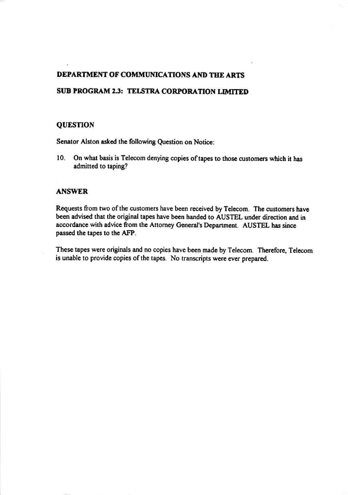# SUB PROGRAM 2.3: TELSTRA CORPORATION LIMITED

### **QUESTION**

Senator Alston asked the following Question on Notice:

10. On what basis is Telecom denying copies of tapes to those customers which it has admitted to taping?

### ANSWER

Requests from two of the customers have been received by Telecom. The customers have been advised that the original tapes have been handed to AUSTEL under direction and in accordance with advice from the Attorney General's Depanment. AUSTEL has since passed the tapes to the AFP.

These tapes were originals and no copies have been made by Telecom. Therefore, Telecom is unable to provide copies of the tapes. No transcripts were ever prepared.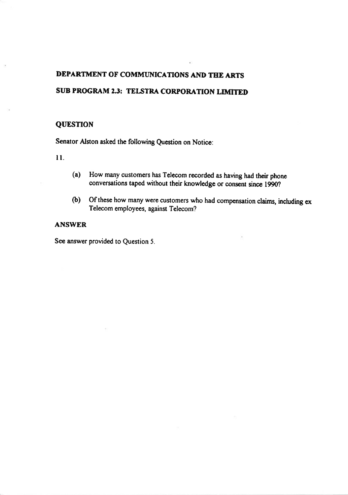# SUB PROGRAM 2.3: TELSTRA CORPORATION LIMITED

## **QUESTION**

Senator Alston asked the following Question on Notice:

I l.

- (a) How many customers has Telecom recorded as having had their phone conversations taped without their knowledge or consent since 1990?
- (b) Of these how many were customers who had compensation claims, including ex Telecom employees, against Telecom?

## ANSWER

See answer provided to Question 5.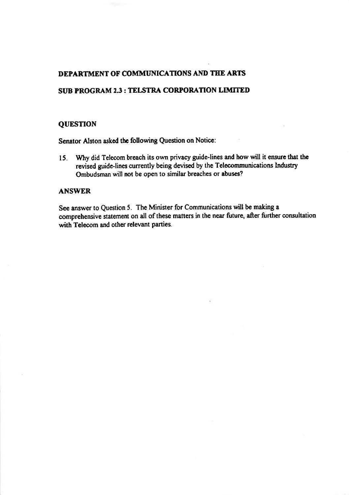## SUB PROGRAM 2.3 : TELSTRA CORPORATION LIMITED

### **QUESTION**

Senator Alston asked the following Question on Notice:

Why did Telecom breach its own privacy guide-lines and how will it ensure that the  $15.$ revised guide-lines currently being devised by the Telecommunications Industry Ombudsman will not be open to similar breaches or abuses?

### **ANSWER**

See answer to Question 5. The Minister for Communications will be making a comprehensive statement on all of these matters in the near future, after further consultation with Telecom and other relevant parties.